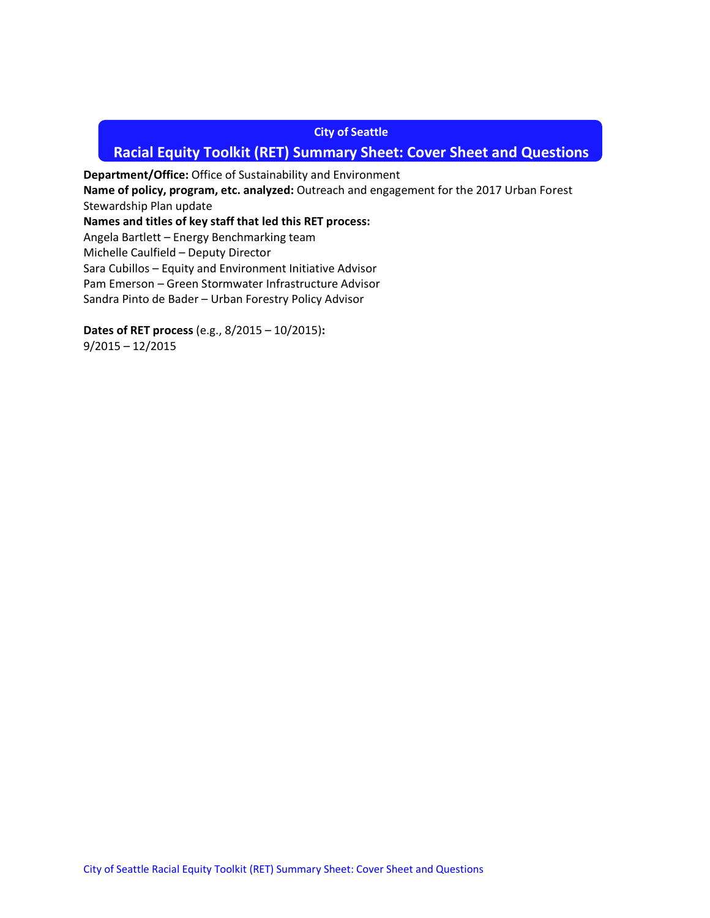#### **City of Seattle**

# **Racial Equity Toolkit (RET) Summary Sheet: Cover Sheet and Questions**

**Department/Office:** Office of Sustainability and Environment **Name of policy, program, etc. analyzed:** Outreach and engagement for the 2017 Urban Forest Stewardship Plan update **Names and titles of key staff that led this RET process:**  Angela Bartlett – Energy Benchmarking team Michelle Caulfield – Deputy Director Sara Cubillos – Equity and Environment Initiative Advisor Pam Emerson – Green Stormwater Infrastructure Advisor

Sandra Pinto de Bader – Urban Forestry Policy Advisor

**Dates of RET process** (e.g., 8/2015 – 10/2015)**:**  9/2015 – 12/2015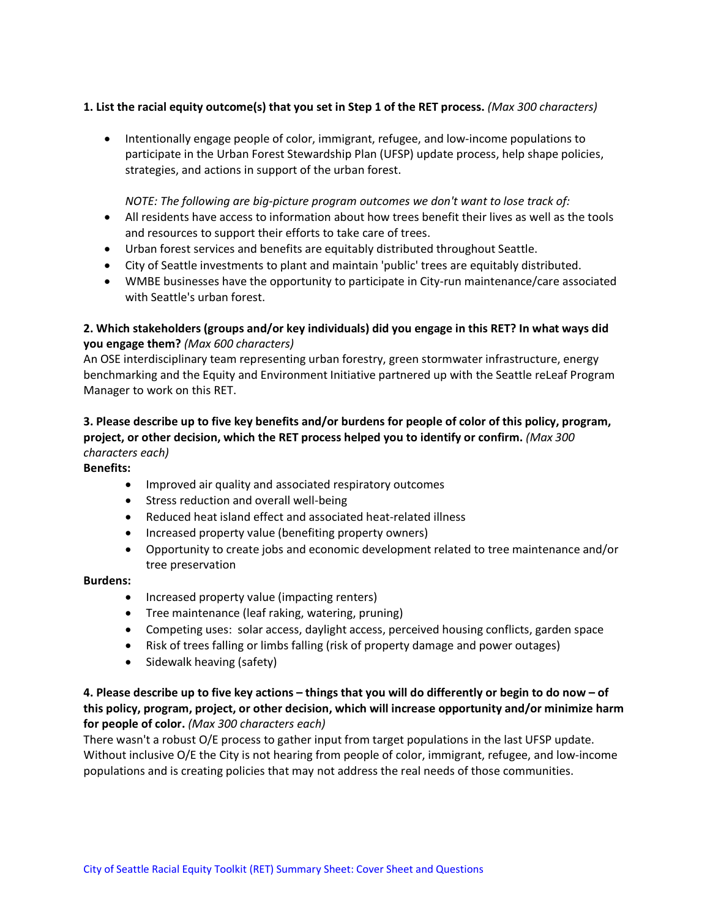## **1. List the racial equity outcome(s) that you set in Step 1 of the RET process.** *(Max 300 characters)*

• Intentionally engage people of color, immigrant, refugee, and low-income populations to participate in the Urban Forest Stewardship Plan (UFSP) update process, help shape policies, strategies, and actions in support of the urban forest.

#### *NOTE: The following are big-picture program outcomes we don't want to lose track of:*

- All residents have access to information about how trees benefit their lives as well as the tools and resources to support their efforts to take care of trees.
- Urban forest services and benefits are equitably distributed throughout Seattle.
- City of Seattle investments to plant and maintain 'public' trees are equitably distributed.
- WMBE businesses have the opportunity to participate in City-run maintenance/care associated with Seattle's urban forest.

## **2. Which stakeholders (groups and/or key individuals) did you engage in this RET? In what ways did you engage them?** *(Max 600 characters)*

An OSE interdisciplinary team representing urban forestry, green stormwater infrastructure, energy benchmarking and the Equity and Environment Initiative partnered up with the Seattle reLeaf Program Manager to work on this RET.

## **3. Please describe up to five key benefits and/or burdens for people of color of this policy, program, project, or other decision, which the RET process helped you to identify or confirm.** *(Max 300 characters each)*

#### **Benefits:**

- Improved air quality and associated respiratory outcomes
- Stress reduction and overall well-being
- Reduced heat island effect and associated heat-related illness
- Increased property value (benefiting property owners)
- Opportunity to create jobs and economic development related to tree maintenance and/or tree preservation

#### **Burdens:**

- Increased property value (impacting renters)
- Tree maintenance (leaf raking, watering, pruning)
- Competing uses: solar access, daylight access, perceived housing conflicts, garden space
- Risk of trees falling or limbs falling (risk of property damage and power outages)
- Sidewalk heaving (safety)

## **4. Please describe up to five key actions – things that you will do differently or begin to do now – of this policy, program, project, or other decision, which will increase opportunity and/or minimize harm for people of color.** *(Max 300 characters each)*

There wasn't a robust O/E process to gather input from target populations in the last UFSP update. Without inclusive O/E the City is not hearing from people of color, immigrant, refugee, and low-income populations and is creating policies that may not address the real needs of those communities.